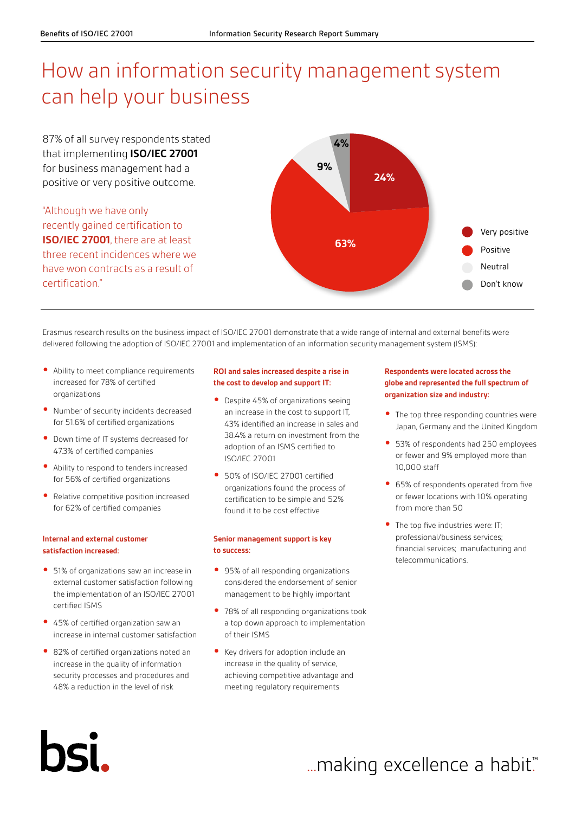# How an information security management system can help your business

87% of all survey respondents stated that implementing **ISO/IEC 27001** for business management had a positive or very positive outcome.

"Although we have only recently gained certification to **ISO/IEC 27001**, there are at least three recent incidences where we have won contracts as a result of certification."



Erasmus research results on the business impact of ISO/IEC 27001 demonstrate that a wide range of internal and external benefits were delivered following the adoption of ISO/IEC 27001 and implementation of an information security management system (ISMS):

- **•** Ability to meet compliance requirements increased for 78% of certified organizations
- **•** Number of security incidents decreased for 51.6% of certified organizations
- **•** Down time of IT systems decreased for 47.3% of certified companies
- **•** Ability to respond to tenders increased for 56% of certified organizations
- **•** Relative competitive position increased for 62% of certified companies

### **Internal and external customer satisfaction increased:**

- **•** 51% of organizations saw an increase in external customer satisfaction following the implementation of an ISO/IEC 27001 certified ISMS
- **•** 45% of certified organization saw an increase in internal customer satisfaction
- **•** 82% of certified organizations noted an increase in the quality of information security processes and procedures and 48% a reduction in the level of risk

hSI.

#### **ROI and sales increased despite a rise in the cost to develop and support IT:**

- **•** Despite 45% of organizations seeing an increase in the cost to support IT, 43% identified an increase in sales and 38.4% a return on investment from the adoption of an ISMS certified to ISO/IEC 27001
- **•** 50% of ISO/IEC 27001 certified organizations found the process of certification to be simple and 52% found it to be cost effective

#### **Senior management support is key to success:**

- **•** 95% of all responding organizations considered the endorsement of senior management to be highly important
- **•** 78% of all responding organizations took a top down approach to implementation of their ISMS
- **•** Key drivers for adoption include an increase in the quality of service, achieving competitive advantage and meeting regulatory requirements

#### **Respondents were located across the globe and represented the full spectrum of organization size and industry:**

- **•** The top three responding countries were Japan, Germany and the United Kingdom
- **•** 53% of respondents had 250 employees or fewer and 9% employed more than 10,000 staff
- **•** 65% of respondents operated from five or fewer locations with 10% operating from more than 50
- **•** The top five industries were: IT; professional/business services; financial services; manufacturing and telecommunications.

... making excellence a habit."